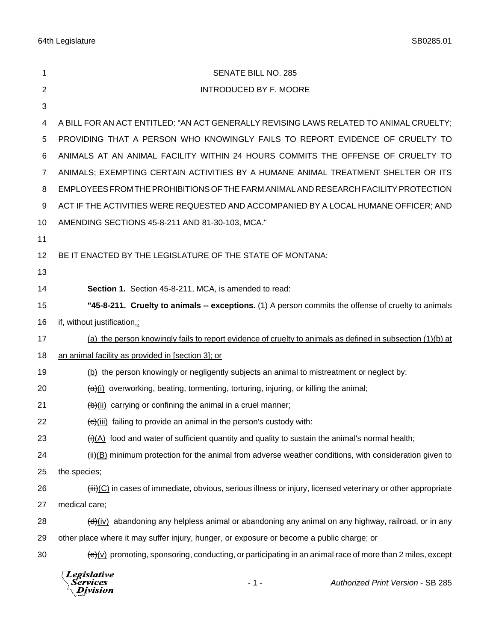64th Legislature SB0285.01

| 1              | <b>SENATE BILL NO. 285</b>                                                                                                        |
|----------------|-----------------------------------------------------------------------------------------------------------------------------------|
| $\overline{2}$ | <b>INTRODUCED BY F. MOORE</b>                                                                                                     |
| 3              |                                                                                                                                   |
| 4              | A BILL FOR AN ACT ENTITLED: "AN ACT GENERALLY REVISING LAWS RELATED TO ANIMAL CRUELTY;                                            |
| 5              | PROVIDING THAT A PERSON WHO KNOWINGLY FAILS TO REPORT EVIDENCE OF CRUELTY TO                                                      |
| 6              | ANIMALS AT AN ANIMAL FACILITY WITHIN 24 HOURS COMMITS THE OFFENSE OF CRUELTY TO                                                   |
| 7              | ANIMALS; EXEMPTING CERTAIN ACTIVITIES BY A HUMANE ANIMAL TREATMENT SHELTER OR ITS                                                 |
| 8              | EMPLOYEES FROM THE PROHIBITIONS OF THE FARM ANIMAL AND RESEARCH FACILITY PROTECTION                                               |
| 9              | ACT IF THE ACTIVITIES WERE REQUESTED AND ACCOMPANIED BY A LOCAL HUMANE OFFICER; AND                                               |
| 10             | AMENDING SECTIONS 45-8-211 AND 81-30-103, MCA."                                                                                   |
| 11             |                                                                                                                                   |
| 12             | BE IT ENACTED BY THE LEGISLATURE OF THE STATE OF MONTANA:                                                                         |
| 13             |                                                                                                                                   |
| 14             | Section 1. Section 45-8-211, MCA, is amended to read:                                                                             |
| 15             | "45-8-211. Cruelty to animals -- exceptions. (1) A person commits the offense of cruelty to animals                               |
| 16             | if, without justification,:                                                                                                       |
| 17             | (a) the person knowingly fails to report evidence of cruelty to animals as defined in subsection (1)(b) at                        |
| 18             | an animal facility as provided in [section 3]; or                                                                                 |
| 19             | (b) the person knowingly or negligently subjects an animal to mistreatment or neglect by:                                         |
| 20             | $\frac{a}{b}$ overworking, beating, tormenting, torturing, injuring, or killing the animal;                                       |
| 21             | $\frac{1}{2}$ carrying or confining the animal in a cruel manner;                                                                 |
| 22             | (e)(iii) failing to provide an animal in the person's custody with:                                                               |
| 23             | $(ii)(A)$ food and water of sufficient quantity and quality to sustain the animal's normal health;                                |
| 24             | $\frac{\text{iii}}{\text{iii}}$ minimum protection for the animal from adverse weather conditions, with consideration given to    |
| 25             | the species;                                                                                                                      |
| 26             | $\overline{\text{tiii}}$ (C) in cases of immediate, obvious, serious illness or injury, licensed veterinary or other appropriate  |
| 27             | medical care;                                                                                                                     |
| 28             | $\left(\frac{d}{dx}\right)$ abandoning any helpless animal or abandoning any animal on any highway, railroad, or in any           |
| 29             | other place where it may suffer injury, hunger, or exposure or become a public charge; or                                         |
| 30             | $\left(\frac{e}{c}\right)\vee$ promoting, sponsoring, conducting, or participating in an animal race of more than 2 miles, except |
|                |                                                                                                                                   |

*Legislative*<br>Services<br>*Division*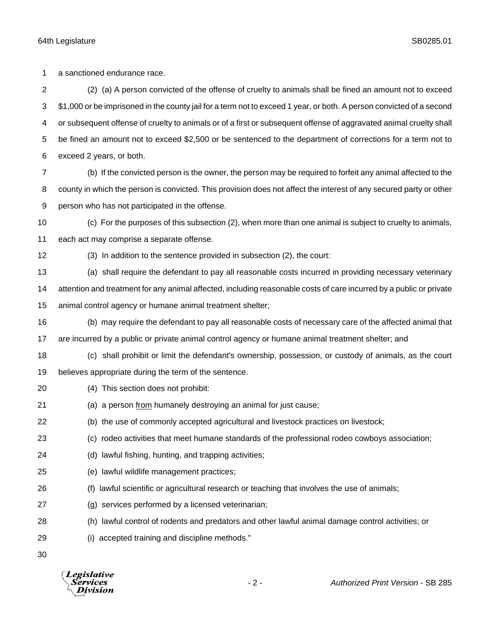64th Legislature SB0285.01

a sanctioned endurance race.

 (2) (a) A person convicted of the offense of cruelty to animals shall be fined an amount not to exceed \$1,000 or be imprisoned in the county jail for a term not to exceed 1 year, or both. A person convicted of a second or subsequent offense of cruelty to animals or of a first or subsequent offense of aggravated animal cruelty shall be fined an amount not to exceed \$2,500 or be sentenced to the department of corrections for a term not to exceed 2 years, or both.

 (b) If the convicted person is the owner, the person may be required to forfeit any animal affected to the county in which the person is convicted. This provision does not affect the interest of any secured party or other person who has not participated in the offense.

 (c) For the purposes of this subsection (2), when more than one animal is subject to cruelty to animals, each act may comprise a separate offense.

(3) In addition to the sentence provided in subsection (2), the court:

(a) shall require the defendant to pay all reasonable costs incurred in providing necessary veterinary

 attention and treatment for any animal affected, including reasonable costs of care incurred by a public or private animal control agency or humane animal treatment shelter;

(b) may require the defendant to pay all reasonable costs of necessary care of the affected animal that

are incurred by a public or private animal control agency or humane animal treatment shelter; and

 (c) shall prohibit or limit the defendant's ownership, possession, or custody of animals, as the court believes appropriate during the term of the sentence.

- (4) This section does not prohibit:
- 21 (a) a person from humanely destroying an animal for just cause;
- (b) the use of commonly accepted agricultural and livestock practices on livestock;
- (c) rodeo activities that meet humane standards of the professional rodeo cowboys association;
- (d) lawful fishing, hunting, and trapping activities;
- (e) lawful wildlife management practices;
- (f) lawful scientific or agricultural research or teaching that involves the use of animals;
- (g) services performed by a licensed veterinarian;
- (h) lawful control of rodents and predators and other lawful animal damage control activities; or
- (i) accepted training and discipline methods."

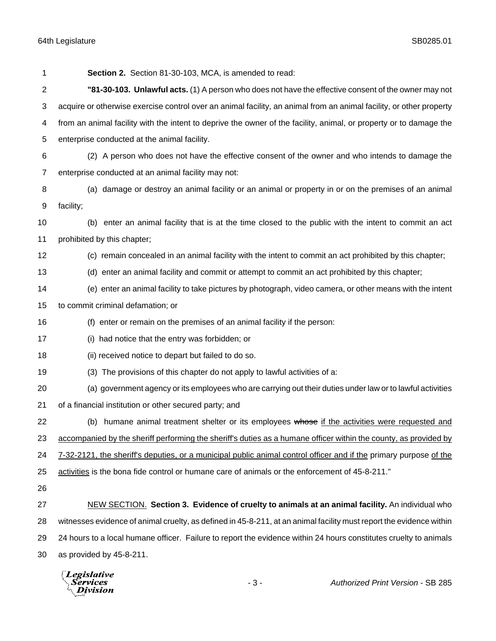## 64th Legislature SB0285.01

| 1  | Section 2. Section 81-30-103, MCA, is amended to read:                                                              |
|----|---------------------------------------------------------------------------------------------------------------------|
| 2  | "81-30-103. Unlawful acts. (1) A person who does not have the effective consent of the owner may not                |
| 3  | acquire or otherwise exercise control over an animal facility, an animal from an animal facility, or other property |
| 4  | from an animal facility with the intent to deprive the owner of the facility, animal, or property or to damage the  |
| 5  | enterprise conducted at the animal facility.                                                                        |
| 6  | (2) A person who does not have the effective consent of the owner and who intends to damage the                     |
| 7  | enterprise conducted at an animal facility may not:                                                                 |
| 8  | (a) damage or destroy an animal facility or an animal or property in or on the premises of an animal                |
| 9  | facility;                                                                                                           |
| 10 | (b) enter an animal facility that is at the time closed to the public with the intent to commit an act              |
| 11 | prohibited by this chapter;                                                                                         |
| 12 | (c) remain concealed in an animal facility with the intent to commit an act prohibited by this chapter;             |
| 13 | (d) enter an animal facility and commit or attempt to commit an act prohibited by this chapter;                     |
| 14 | (e) enter an animal facility to take pictures by photograph, video camera, or other means with the intent           |
| 15 | to commit criminal defamation; or                                                                                   |
| 16 | (f) enter or remain on the premises of an animal facility if the person:                                            |
| 17 | (i) had notice that the entry was forbidden; or                                                                     |
| 18 | (ii) received notice to depart but failed to do so.                                                                 |
| 19 | (3) The provisions of this chapter do not apply to lawful activities of a:                                          |
| 20 | (a) government agency or its employees who are carrying out their duties under law or to lawful activities          |
| 21 | of a financial institution or other secured party; and                                                              |
| 22 | (b) humane animal treatment shelter or its employees whose if the activities were requested and                     |
| 23 | accompanied by the sheriff performing the sheriff's duties as a humane officer within the county, as provided by    |
| 24 | 7-32-2121, the sheriff's deputies, or a municipal public animal control officer and if the primary purpose of the   |
| 25 | activities is the bona fide control or humane care of animals or the enforcement of 45-8-211."                      |
| 26 |                                                                                                                     |
| 27 | <b>NEW SECTION.</b> Section 3. Evidence of cruelty to animals at an animal facility. An individual who              |
| 28 | witnesses evidence of animal cruelty, as defined in 45-8-211, at an animal facility must report the evidence within |
| 29 | 24 hours to a local humane officer. Failure to report the evidence within 24 hours constitutes cruelty to animals   |
| 30 | as provided by 45-8-211.                                                                                            |
|    |                                                                                                                     |